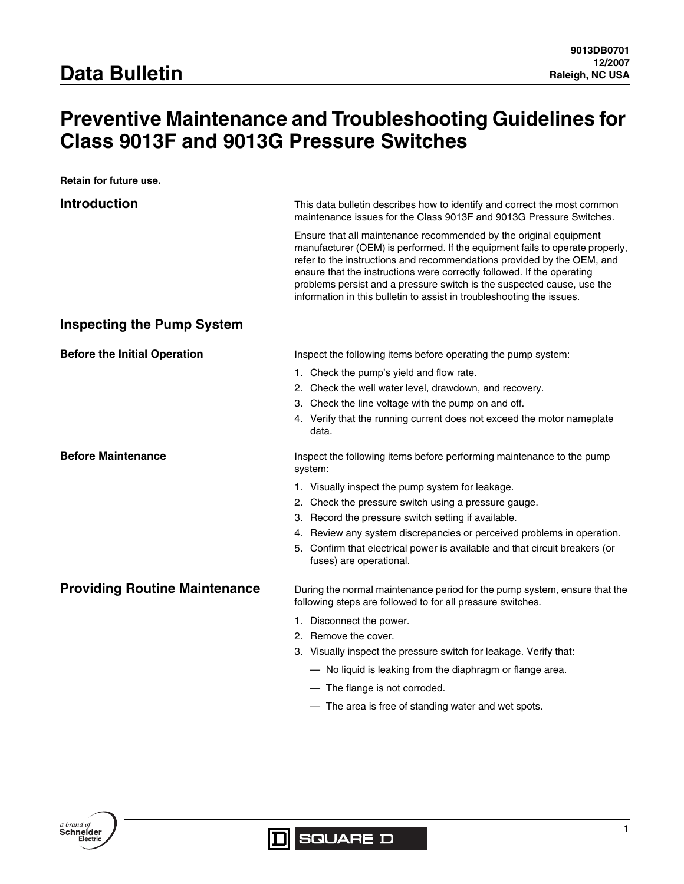# **Preventive Maintenance and Troubleshooting Guidelines for Class 9013F and 9013G Pressure Switches**

**Retain for future use.**

| <b>Introduction</b>                  | This data bulletin describes how to identify and correct the most common                                                                                                                                                                                                                                                                                                                                                                                 |
|--------------------------------------|----------------------------------------------------------------------------------------------------------------------------------------------------------------------------------------------------------------------------------------------------------------------------------------------------------------------------------------------------------------------------------------------------------------------------------------------------------|
|                                      | maintenance issues for the Class 9013F and 9013G Pressure Switches.                                                                                                                                                                                                                                                                                                                                                                                      |
|                                      | Ensure that all maintenance recommended by the original equipment<br>manufacturer (OEM) is performed. If the equipment fails to operate properly,<br>refer to the instructions and recommendations provided by the OEM, and<br>ensure that the instructions were correctly followed. If the operating<br>problems persist and a pressure switch is the suspected cause, use the<br>information in this bulletin to assist in troubleshooting the issues. |
| <b>Inspecting the Pump System</b>    |                                                                                                                                                                                                                                                                                                                                                                                                                                                          |
| <b>Before the Initial Operation</b>  | Inspect the following items before operating the pump system:                                                                                                                                                                                                                                                                                                                                                                                            |
|                                      | 1. Check the pump's yield and flow rate.                                                                                                                                                                                                                                                                                                                                                                                                                 |
|                                      | 2. Check the well water level, drawdown, and recovery.                                                                                                                                                                                                                                                                                                                                                                                                   |
|                                      | 3. Check the line voltage with the pump on and off.                                                                                                                                                                                                                                                                                                                                                                                                      |
|                                      | 4. Verify that the running current does not exceed the motor nameplate<br>data.                                                                                                                                                                                                                                                                                                                                                                          |
| <b>Before Maintenance</b>            | Inspect the following items before performing maintenance to the pump<br>system:                                                                                                                                                                                                                                                                                                                                                                         |
|                                      | 1. Visually inspect the pump system for leakage.                                                                                                                                                                                                                                                                                                                                                                                                         |
|                                      | 2. Check the pressure switch using a pressure gauge.                                                                                                                                                                                                                                                                                                                                                                                                     |
|                                      | 3. Record the pressure switch setting if available.                                                                                                                                                                                                                                                                                                                                                                                                      |
|                                      | 4. Review any system discrepancies or perceived problems in operation.                                                                                                                                                                                                                                                                                                                                                                                   |
|                                      | 5. Confirm that electrical power is available and that circuit breakers (or<br>fuses) are operational.                                                                                                                                                                                                                                                                                                                                                   |
| <b>Providing Routine Maintenance</b> | During the normal maintenance period for the pump system, ensure that the<br>following steps are followed to for all pressure switches.                                                                                                                                                                                                                                                                                                                  |
|                                      | 1. Disconnect the power.                                                                                                                                                                                                                                                                                                                                                                                                                                 |
|                                      | 2. Remove the cover.                                                                                                                                                                                                                                                                                                                                                                                                                                     |
|                                      | 3. Visually inspect the pressure switch for leakage. Verify that:                                                                                                                                                                                                                                                                                                                                                                                        |
|                                      | - No liquid is leaking from the diaphragm or flange area.                                                                                                                                                                                                                                                                                                                                                                                                |
|                                      | - The flange is not corroded.                                                                                                                                                                                                                                                                                                                                                                                                                            |

— The area is free of standing water and wet spots.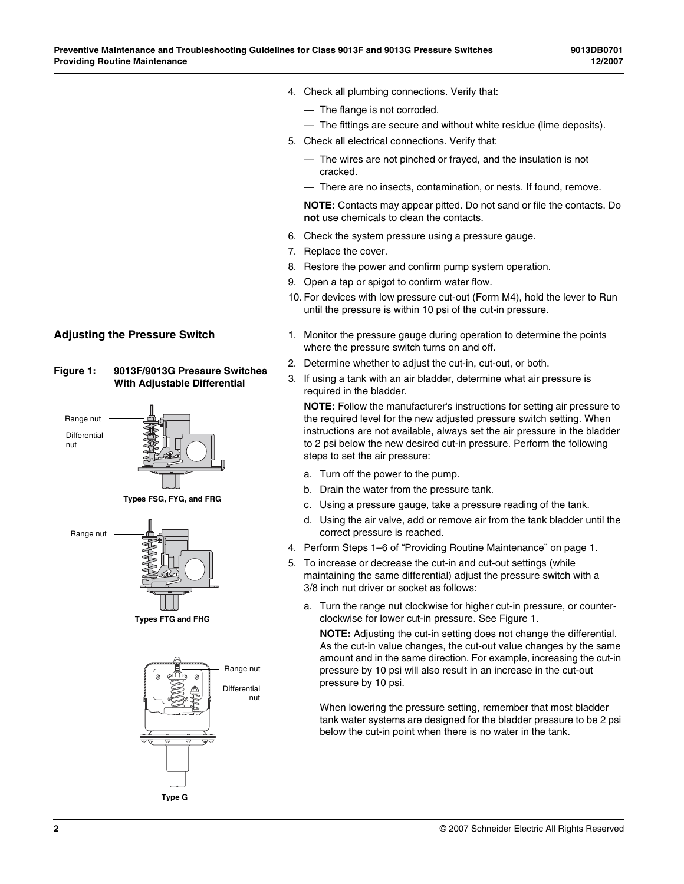- 4. Check all plumbing connections. Verify that:
	- The flange is not corroded.
	- The fittings are secure and without white residue (lime deposits).
- 5. Check all electrical connections. Verify that:
	- The wires are not pinched or frayed, and the insulation is not cracked.
	- There are no insects, contamination, or nests. If found, remove.

**NOTE:** Contacts may appear pitted. Do not sand or file the contacts. Do **not** use chemicals to clean the contacts.

- 6. Check the system pressure using a pressure gauge.
- 7. Replace the cover.
- 8. Restore the power and confirm pump system operation.
- 9. Open a tap or spigot to confirm water flow.
- 10. For devices with low pressure cut-out (Form M4), hold the lever to Run until the pressure is within 10 psi of the cut-in pressure.
- **Adjusting the Pressure Switch** 1. Monitor the pressure gauge during operation to determine the points where the pressure switch turns on and off.
	- 2. Determine whether to adjust the cut-in, cut-out, or both.
	- 3. If using a tank with an air bladder, determine what air pressure is required in the bladder.

**NOTE:** Follow the manufacturer's instructions for setting air pressure to the required level for the new adjusted pressure switch setting. When instructions are not available, always set the air pressure in the bladder to 2 psi below the new desired cut-in pressure. Perform the following steps to set the air pressure:

- a. Turn off the power to the pump.
- b. Drain the water from the pressure tank.
- c. Using a pressure gauge, take a pressure reading of the tank.
- d. Using the air valve, add or remove air from the tank bladder until the correct pressure is reached.
- 4. Perform Steps 1–6 of "Providing Routine Maintenance" on page 1.
- 5. To increase or decrease the cut-in and cut-out settings (while maintaining the same differential) adjust the pressure switch with a 3/8 inch nut driver or socket as follows:
	- a. Turn the range nut clockwise for higher cut-in pressure, or counterclockwise for lower cut-in pressure. See Figure 1.

**NOTE:** Adjusting the cut-in setting does not change the differential. As the cut-in value changes, the cut-out value changes by the same amount and in the same direction. For example, increasing the cut-in pressure by 10 psi will also result in an increase in the cut-out pressure by 10 psi.

When lowering the pressure setting, remember that most bladder tank water systems are designed for the bladder pressure to be 2 psi below the cut-in point when there is no water in the tank.









**Types FTG and FHG**

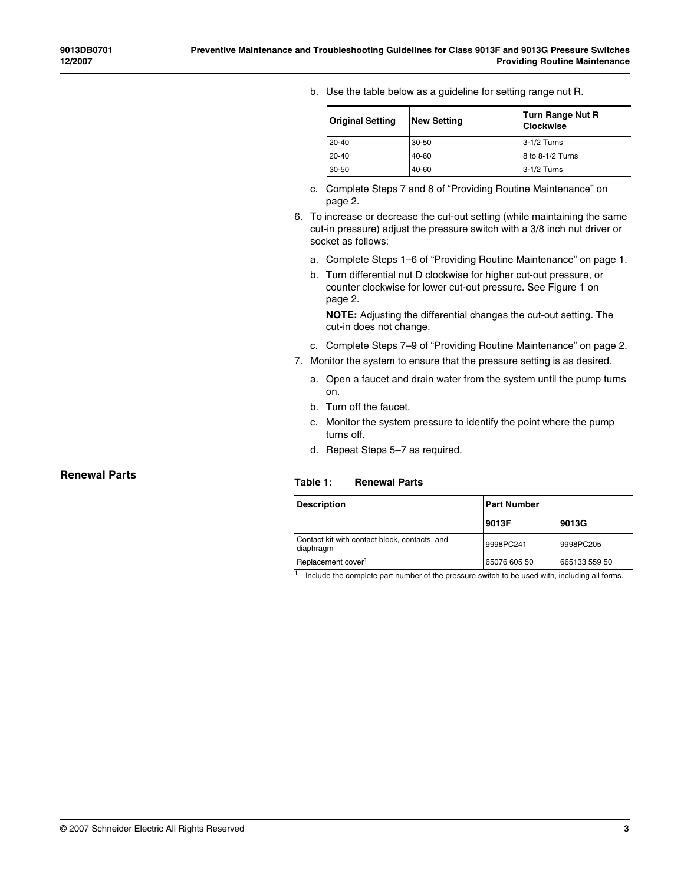b. Use the table below as a guideline for setting range nut R.

| <b>Original Setting</b> | <b>New Setting</b> | <b>Turn Range Nut R</b><br><b>Clockwise</b> |
|-------------------------|--------------------|---------------------------------------------|
| $20 - 40$               | 30-50              | 3-1/2 Turns                                 |
| $20 - 40$               | 40-60              | 8 to 8-1/2 Turns                            |
| 30-50                   | 40-60              | 3-1/2 Turns                                 |

- c. Complete Steps 7 and 8 of "Providing Routine Maintenance" on page 2.
- 6. To increase or decrease the cut-out setting (while maintaining the same cut-in pressure) adjust the pressure switch with a 3/8 inch nut driver or socket as follows:
	- a. Complete Steps 1–6 of "Providing Routine Maintenance" on page 1.
	- b. Turn differential nut D clockwise for higher cut-out pressure, or counter clockwise for lower cut-out pressure. See Figure 1 on page 2.

**NOTE:** Adjusting the differential changes the cut-out setting. The cut-in does not change.

- c. Complete Steps 7–9 of "Providing Routine Maintenance" on page 2.
- 7. Monitor the system to ensure that the pressure setting is as desired.
	- a. Open a faucet and drain water from the system until the pump turns on.
	- b. Turn off the faucet.
	- c. Monitor the system pressure to identify the point where the pump turns off.
	- d. Repeat Steps 5–7 as required.

#### **Table 1: Renewal Parts**

| <b>Part Number</b><br><b>Description</b>                   |              |               |
|------------------------------------------------------------|--------------|---------------|
|                                                            | 9013F        | 9013G         |
| Contact kit with contact block, contacts, and<br>diaphragm | 9998PC241    | 9998PC205     |
| Replacement cover <sup>1</sup>                             | 65076 605 50 | 665133 559 50 |

 $1$  Include the complete part number of the pressure switch to be used with, including all forms.

#### **Renewal Parts**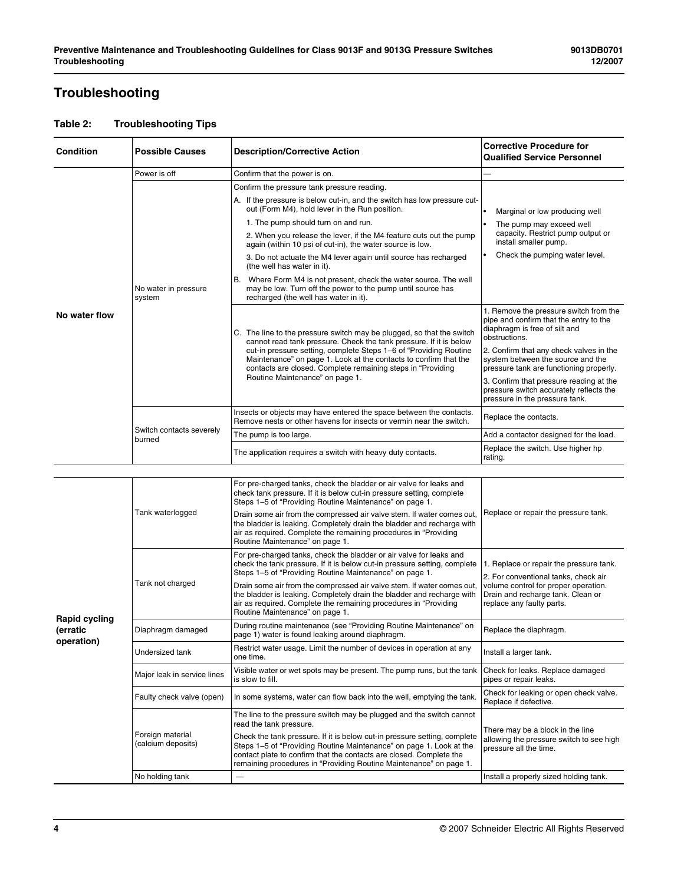# **Troubleshooting**

| <b>Condition</b>                                      | <b>Possible Causes</b>                                                                                                                                                 | <b>Description/Corrective Action</b>                                                                                                                                                                                                                                                                                                                | <b>Corrective Procedure for</b><br><b>Qualified Service Personnel</b>                                                              |
|-------------------------------------------------------|------------------------------------------------------------------------------------------------------------------------------------------------------------------------|-----------------------------------------------------------------------------------------------------------------------------------------------------------------------------------------------------------------------------------------------------------------------------------------------------------------------------------------------------|------------------------------------------------------------------------------------------------------------------------------------|
|                                                       | Power is off                                                                                                                                                           | Confirm that the power is on.                                                                                                                                                                                                                                                                                                                       |                                                                                                                                    |
|                                                       |                                                                                                                                                                        | Confirm the pressure tank pressure reading.                                                                                                                                                                                                                                                                                                         |                                                                                                                                    |
|                                                       |                                                                                                                                                                        | A. If the pressure is below cut-in, and the switch has low pressure cut-<br>out (Form M4), hold lever in the Run position.                                                                                                                                                                                                                          | Marginal or low producing well                                                                                                     |
|                                                       |                                                                                                                                                                        | 1. The pump should turn on and run.                                                                                                                                                                                                                                                                                                                 | The pump may exceed well                                                                                                           |
|                                                       |                                                                                                                                                                        | 2. When you release the lever, if the M4 feature cuts out the pump<br>again (within 10 psi of cut-in), the water source is low.                                                                                                                                                                                                                     | capacity. Restrict pump output or<br>install smaller pump.                                                                         |
| В.<br>No water in pressure<br>system<br>No water flow | 3. Do not actuate the M4 lever again until source has recharged<br>(the well has water in it).                                                                         | Check the pumping water level.                                                                                                                                                                                                                                                                                                                      |                                                                                                                                    |
|                                                       | Where Form M4 is not present, check the water source. The well<br>may be low. Turn off the power to the pump until source has<br>recharged (the well has water in it). |                                                                                                                                                                                                                                                                                                                                                     |                                                                                                                                    |
|                                                       |                                                                                                                                                                        | C. The line to the pressure switch may be plugged, so that the switch<br>cannot read tank pressure. Check the tank pressure. If it is below<br>cut-in pressure setting, complete Steps 1-6 of "Providing Routine<br>Maintenance" on page 1. Look at the contacts to confirm that the<br>contacts are closed. Complete remaining steps in "Providing | 1. Remove the pressure switch from the<br>pipe and confirm that the entry to the<br>diaphragm is free of silt and<br>obstructions. |
|                                                       |                                                                                                                                                                        |                                                                                                                                                                                                                                                                                                                                                     | 2. Confirm that any check valves in the<br>system between the source and the<br>pressure tank are functioning properly.            |
|                                                       |                                                                                                                                                                        | Routine Maintenance" on page 1.                                                                                                                                                                                                                                                                                                                     | 3. Confirm that pressure reading at the<br>pressure switch accurately reflects the<br>pressure in the pressure tank.               |
|                                                       | Switch contacts severely<br>burned                                                                                                                                     | Insects or objects may have entered the space between the contacts.<br>Remove nests or other havens for insects or vermin near the switch.                                                                                                                                                                                                          | Replace the contacts.                                                                                                              |
|                                                       |                                                                                                                                                                        | The pump is too large.                                                                                                                                                                                                                                                                                                                              | Add a contactor designed for the load.                                                                                             |
|                                                       |                                                                                                                                                                        | The application requires a switch with heavy duty contacts.                                                                                                                                                                                                                                                                                         | Replace the switch. Use higher hp<br>rating.                                                                                       |

| <b>Rapid cycling</b><br>(erratic<br>operation) | Tank waterlogged                       | For pre-charged tanks, check the bladder or air valve for leaks and<br>check tank pressure. If it is below cut-in pressure setting, complete<br>Steps 1-5 of "Providing Routine Maintenance" on page 1.                                                                                                                                                                                                                                                                |                                                                                                                                                                                           |
|------------------------------------------------|----------------------------------------|------------------------------------------------------------------------------------------------------------------------------------------------------------------------------------------------------------------------------------------------------------------------------------------------------------------------------------------------------------------------------------------------------------------------------------------------------------------------|-------------------------------------------------------------------------------------------------------------------------------------------------------------------------------------------|
|                                                |                                        | Drain some air from the compressed air valve stem. If water comes out,<br>the bladder is leaking. Completely drain the bladder and recharge with<br>air as required. Complete the remaining procedures in "Providing<br>Routine Maintenance" on page 1.                                                                                                                                                                                                                | Replace or repair the pressure tank.                                                                                                                                                      |
|                                                | Tank not charged                       | For pre-charged tanks, check the bladder or air valve for leaks and<br>check the tank pressure. If it is below cut-in pressure setting, complete<br>Steps 1-5 of "Providing Routine Maintenance" on page 1.<br>Drain some air from the compressed air valve stem. If water comes out,<br>the bladder is leaking. Completely drain the bladder and recharge with<br>air as required. Complete the remaining procedures in "Providing<br>Routine Maintenance" on page 1. | 1. Replace or repair the pressure tank.<br>2. For conventional tanks, check air<br>volume control for proper operation.<br>Drain and recharge tank. Clean or<br>replace any faulty parts. |
|                                                | Diaphragm damaged                      | During routine maintenance (see "Providing Routine Maintenance" on<br>page 1) water is found leaking around diaphragm.                                                                                                                                                                                                                                                                                                                                                 | Replace the diaphragm.                                                                                                                                                                    |
|                                                | Undersized tank                        | Restrict water usage. Limit the number of devices in operation at any<br>one time.                                                                                                                                                                                                                                                                                                                                                                                     | Install a larger tank.                                                                                                                                                                    |
|                                                | Major leak in service lines            | Visible water or wet spots may be present. The pump runs, but the tank<br>is slow to fill.                                                                                                                                                                                                                                                                                                                                                                             | Check for leaks. Replace damaged<br>pipes or repair leaks.                                                                                                                                |
|                                                | Faulty check valve (open)              | In some systems, water can flow back into the well, emptying the tank.                                                                                                                                                                                                                                                                                                                                                                                                 | Check for leaking or open check valve.<br>Replace if defective.                                                                                                                           |
|                                                |                                        | The line to the pressure switch may be plugged and the switch cannot<br>read the tank pressure.                                                                                                                                                                                                                                                                                                                                                                        | There may be a block in the line                                                                                                                                                          |
|                                                | Foreign material<br>(calcium deposits) | Check the tank pressure. If it is below cut-in pressure setting, complete<br>Steps 1-5 of "Providing Routine Maintenance" on page 1. Look at the<br>contact plate to confirm that the contacts are closed. Complete the<br>remaining procedures in "Providing Routine Maintenance" on page 1.                                                                                                                                                                          | allowing the pressure switch to see high<br>pressure all the time.                                                                                                                        |
|                                                | No holding tank                        |                                                                                                                                                                                                                                                                                                                                                                                                                                                                        | Install a properly sized holding tank.                                                                                                                                                    |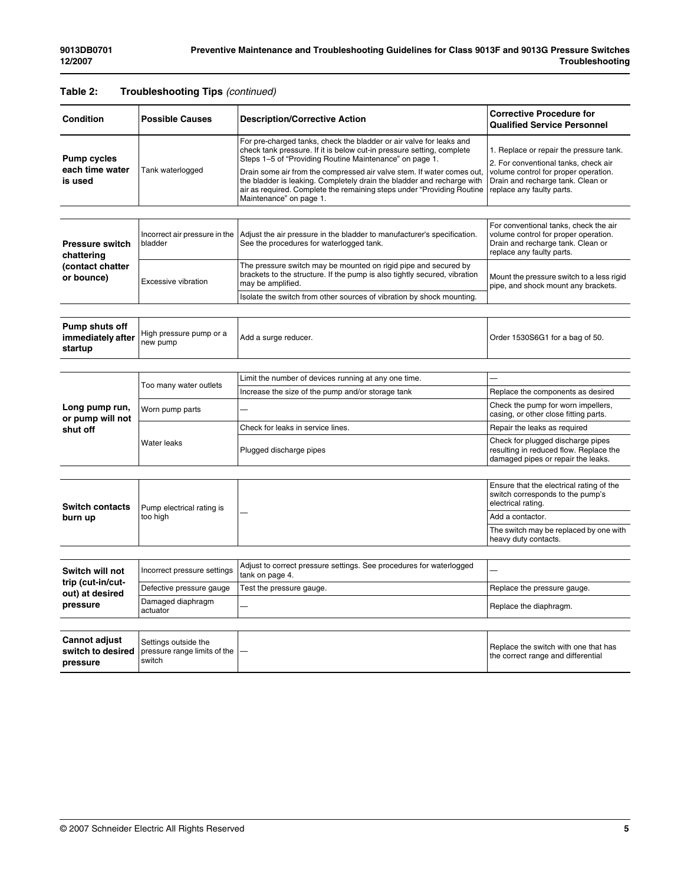### **Table 2: Troubleshooting Tips** *(continued)*

| <b>Condition</b>                                                    | <b>Possible Causes</b>                                         | <b>Description/Corrective Action</b>                                                                                                                                                                                                                                                                                                                                                                                                                              | <b>Corrective Procedure for</b><br><b>Qualified Service Personnel</b>                                                                                                                     |
|---------------------------------------------------------------------|----------------------------------------------------------------|-------------------------------------------------------------------------------------------------------------------------------------------------------------------------------------------------------------------------------------------------------------------------------------------------------------------------------------------------------------------------------------------------------------------------------------------------------------------|-------------------------------------------------------------------------------------------------------------------------------------------------------------------------------------------|
| <b>Pump cycles</b><br>each time water<br>is used                    | Tank waterlogged                                               | For pre-charged tanks, check the bladder or air valve for leaks and<br>check tank pressure. If it is below cut-in pressure setting, complete<br>Steps 1-5 of "Providing Routine Maintenance" on page 1.<br>Drain some air from the compressed air valve stem. If water comes out,<br>the bladder is leaking. Completely drain the bladder and recharge with<br>air as required. Complete the remaining steps under "Providing Routine"<br>Maintenance" on page 1. | 1. Replace or repair the pressure tank.<br>2. For conventional tanks, check air<br>volume control for proper operation.<br>Drain and recharge tank. Clean or<br>replace any faulty parts. |
|                                                                     |                                                                |                                                                                                                                                                                                                                                                                                                                                                                                                                                                   |                                                                                                                                                                                           |
| <b>Pressure switch</b><br>chattering                                | Incorrect air pressure in the<br>bladder                       | Adjust the air pressure in the bladder to manufacturer's specification.<br>See the procedures for waterlogged tank.                                                                                                                                                                                                                                                                                                                                               | For conventional tanks, check the air<br>volume control for proper operation.<br>Drain and recharge tank. Clean or<br>replace any faulty parts.                                           |
| (contact chatter<br>or bounce)                                      | <b>Excessive vibration</b>                                     | The pressure switch may be mounted on rigid pipe and secured by<br>brackets to the structure. If the pump is also tightly secured, vibration<br>may be amplified.                                                                                                                                                                                                                                                                                                 | Mount the pressure switch to a less rigid<br>pipe, and shock mount any brackets.                                                                                                          |
|                                                                     |                                                                | Isolate the switch from other sources of vibration by shock mounting.                                                                                                                                                                                                                                                                                                                                                                                             |                                                                                                                                                                                           |
|                                                                     |                                                                |                                                                                                                                                                                                                                                                                                                                                                                                                                                                   |                                                                                                                                                                                           |
| Pump shuts off<br>immediately after<br>startup                      | High pressure pump or a<br>new pump                            | Add a surge reducer.                                                                                                                                                                                                                                                                                                                                                                                                                                              | Order 1530S6G1 for a bag of 50.                                                                                                                                                           |
|                                                                     |                                                                |                                                                                                                                                                                                                                                                                                                                                                                                                                                                   |                                                                                                                                                                                           |
|                                                                     |                                                                | Limit the number of devices running at any one time.                                                                                                                                                                                                                                                                                                                                                                                                              |                                                                                                                                                                                           |
|                                                                     | Too many water outlets                                         | Increase the size of the pump and/or storage tank                                                                                                                                                                                                                                                                                                                                                                                                                 | Replace the components as desired                                                                                                                                                         |
| Long pump run,<br>or pump will not                                  | Worn pump parts                                                |                                                                                                                                                                                                                                                                                                                                                                                                                                                                   | Check the pump for worn impellers,<br>casing, or other close fitting parts.                                                                                                               |
| shut off                                                            |                                                                | Check for leaks in service lines.                                                                                                                                                                                                                                                                                                                                                                                                                                 | Repair the leaks as required                                                                                                                                                              |
|                                                                     | Water leaks                                                    | Plugged discharge pipes                                                                                                                                                                                                                                                                                                                                                                                                                                           | Check for plugged discharge pipes<br>resulting in reduced flow. Replace the<br>damaged pipes or repair the leaks.                                                                         |
|                                                                     |                                                                |                                                                                                                                                                                                                                                                                                                                                                                                                                                                   |                                                                                                                                                                                           |
| <b>Switch contacts</b>                                              | Pump electrical rating is<br>too high                          |                                                                                                                                                                                                                                                                                                                                                                                                                                                                   | Ensure that the electrical rating of the<br>switch corresponds to the pump's<br>electrical rating.                                                                                        |
| burn up                                                             |                                                                |                                                                                                                                                                                                                                                                                                                                                                                                                                                                   | Add a contactor.                                                                                                                                                                          |
|                                                                     |                                                                |                                                                                                                                                                                                                                                                                                                                                                                                                                                                   | The switch may be replaced by one with<br>heavy duty contacts.                                                                                                                            |
|                                                                     |                                                                |                                                                                                                                                                                                                                                                                                                                                                                                                                                                   |                                                                                                                                                                                           |
| Switch will not<br>trip (cut-in/cut-<br>out) at desired<br>pressure | Incorrect pressure settings                                    | Adjust to correct pressure settings. See procedures for waterlogged<br>tank on page 4.                                                                                                                                                                                                                                                                                                                                                                            |                                                                                                                                                                                           |
|                                                                     | Defective pressure gauge                                       | Test the pressure gauge.                                                                                                                                                                                                                                                                                                                                                                                                                                          | Replace the pressure gauge.                                                                                                                                                               |
|                                                                     | Damaged diaphragm<br>actuator                                  |                                                                                                                                                                                                                                                                                                                                                                                                                                                                   | Replace the diaphragm.                                                                                                                                                                    |
|                                                                     |                                                                |                                                                                                                                                                                                                                                                                                                                                                                                                                                                   |                                                                                                                                                                                           |
| <b>Cannot adjust</b><br>switch to desired<br>pressure               | Settings outside the<br>pressure range limits of the<br>switch |                                                                                                                                                                                                                                                                                                                                                                                                                                                                   | Replace the switch with one that has<br>the correct range and differential                                                                                                                |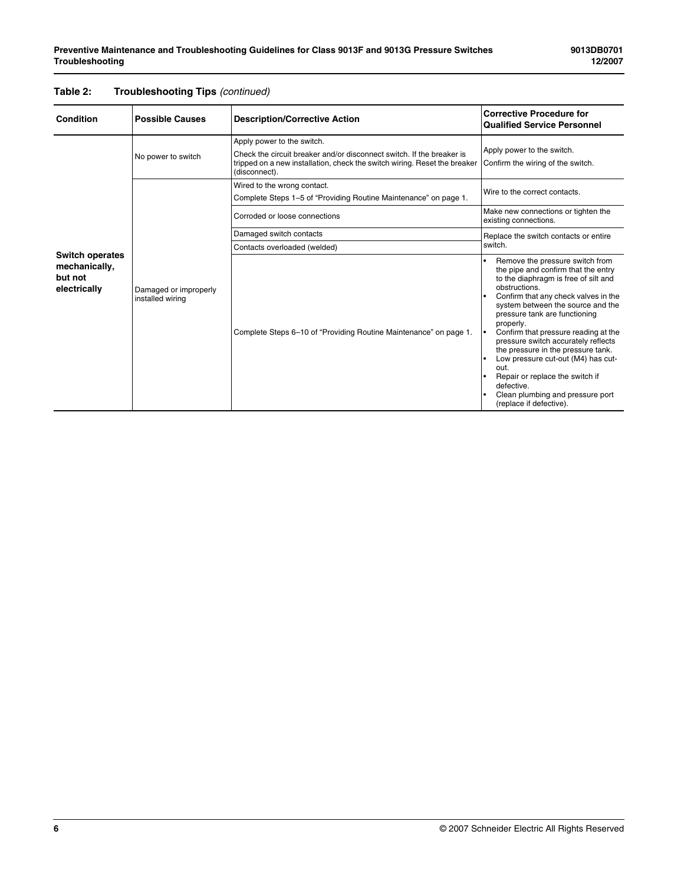| <b>Condition</b>                                                   | <b>Possible Causes</b>                    | <b>Description/Corrective Action</b>                                                                                                                                                              | <b>Corrective Procedure for</b><br><b>Qualified Service Personnel</b>                                                                                                                                                                                                                                                                                                                                                                                                                                                                                     |
|--------------------------------------------------------------------|-------------------------------------------|---------------------------------------------------------------------------------------------------------------------------------------------------------------------------------------------------|-----------------------------------------------------------------------------------------------------------------------------------------------------------------------------------------------------------------------------------------------------------------------------------------------------------------------------------------------------------------------------------------------------------------------------------------------------------------------------------------------------------------------------------------------------------|
| No power to switch                                                 |                                           | Apply power to the switch.<br>Check the circuit breaker and/or disconnect switch. If the breaker is<br>tripped on a new installation, check the switch wiring. Reset the breaker<br>(disconnect). | Apply power to the switch.<br>Confirm the wiring of the switch.                                                                                                                                                                                                                                                                                                                                                                                                                                                                                           |
|                                                                    |                                           | Wired to the wrong contact.<br>Complete Steps 1-5 of "Providing Routine Maintenance" on page 1.                                                                                                   | Wire to the correct contacts.                                                                                                                                                                                                                                                                                                                                                                                                                                                                                                                             |
|                                                                    | Corroded or loose connections             | Make new connections or tighten the<br>existing connections.                                                                                                                                      |                                                                                                                                                                                                                                                                                                                                                                                                                                                                                                                                                           |
|                                                                    |                                           | Damaged switch contacts                                                                                                                                                                           | Replace the switch contacts or entire                                                                                                                                                                                                                                                                                                                                                                                                                                                                                                                     |
|                                                                    |                                           | Contacts overloaded (welded)                                                                                                                                                                      | switch.                                                                                                                                                                                                                                                                                                                                                                                                                                                                                                                                                   |
| <b>Switch operates</b><br>mechanically,<br>but not<br>electrically | Damaged or improperly<br>installed wiring | Complete Steps 6-10 of "Providing Routine Maintenance" on page 1.                                                                                                                                 | Remove the pressure switch from<br>the pipe and confirm that the entry<br>to the diaphragm is free of silt and<br>obstructions.<br>Confirm that any check valves in the<br>I۰<br>system between the source and the<br>pressure tank are functioning<br>properly.<br>Confirm that pressure reading at the<br>I۰<br>pressure switch accurately reflects<br>the pressure in the pressure tank.<br>Low pressure cut-out (M4) has cut-<br>out.<br>Repair or replace the switch if<br>defective.<br>Clean plumbing and pressure port<br>(replace if defective). |

### **Table 2: Troubleshooting Tips** *(continued)*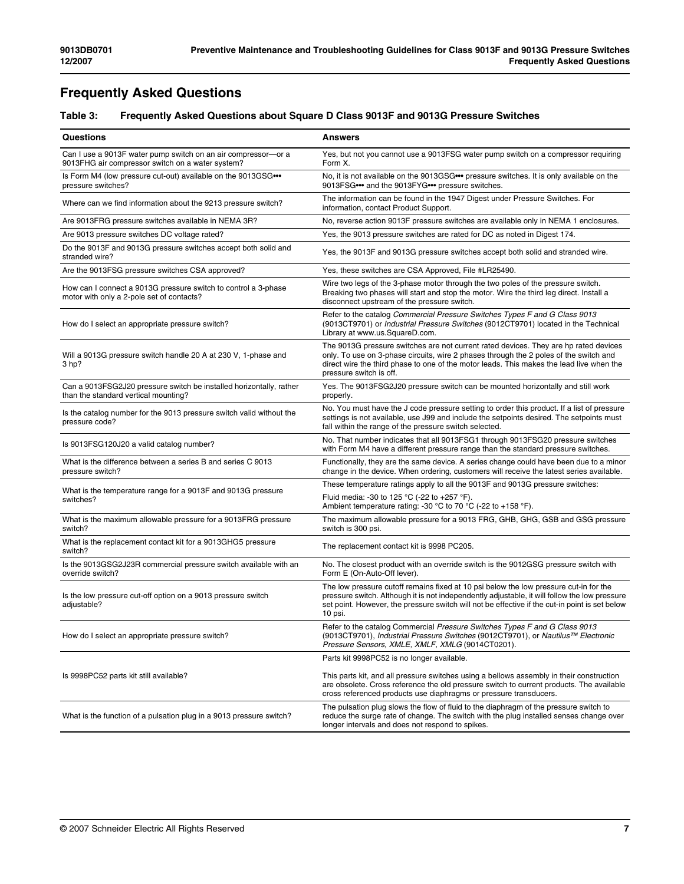## **Frequently Asked Questions**

### **Table 3: Frequently Asked Questions about Square D Class 9013F and 9013G Pressure Switches**

| <b>Questions</b>                                                                                                  | <b>Answers</b>                                                                                                                                                                                                                                                                                       |
|-------------------------------------------------------------------------------------------------------------------|------------------------------------------------------------------------------------------------------------------------------------------------------------------------------------------------------------------------------------------------------------------------------------------------------|
| Can I use a 9013F water pump switch on an air compressor-or a<br>9013FHG air compressor switch on a water system? | Yes, but not you cannot use a 9013FSG water pump switch on a compressor requiring<br>Form X.                                                                                                                                                                                                         |
| Is Form M4 (low pressure cut-out) available on the 9013GSG<br>pressure switches?                                  | No, it is not available on the 9013GSG ••• pressure switches. It is only available on the<br>9013FSG ••• and the 9013FYG ••• pressure switches.                                                                                                                                                      |
| Where can we find information about the 9213 pressure switch?                                                     | The information can be found in the 1947 Digest under Pressure Switches. For<br>information, contact Product Support.                                                                                                                                                                                |
| Are 9013FRG pressure switches available in NEMA 3R?                                                               | No, reverse action 9013F pressure switches are available only in NEMA 1 enclosures.                                                                                                                                                                                                                  |
| Are 9013 pressure switches DC voltage rated?                                                                      | Yes, the 9013 pressure switches are rated for DC as noted in Digest 174.                                                                                                                                                                                                                             |
| Do the 9013F and 9013G pressure switches accept both solid and<br>stranded wire?                                  | Yes, the 9013F and 9013G pressure switches accept both solid and stranded wire.                                                                                                                                                                                                                      |
| Are the 9013FSG pressure switches CSA approved?                                                                   | Yes, these switches are CSA Approved, File #LR25490.                                                                                                                                                                                                                                                 |
| How can I connect a 9013G pressure switch to control a 3-phase<br>motor with only a 2-pole set of contacts?       | Wire two legs of the 3-phase motor through the two poles of the pressure switch.<br>Breaking two phases will start and stop the motor. Wire the third leg direct. Install a<br>disconnect upstream of the pressure switch.                                                                           |
| How do I select an appropriate pressure switch?                                                                   | Refer to the catalog Commercial Pressure Switches Types F and G Class 9013<br>(9013CT9701) or <i>Industrial Pressure Switches</i> (9012CT9701) located in the Technical<br>Library at www.us.SquareD.com.                                                                                            |
| Will a 9013G pressure switch handle 20 A at 230 V, 1-phase and<br>3 hp?                                           | The 9013G pressure switches are not current rated devices. They are hp rated devices<br>only. To use on 3-phase circuits, wire 2 phases through the 2 poles of the switch and<br>direct wire the third phase to one of the motor leads. This makes the lead live when the<br>pressure switch is off. |
| Can a 9013FSG2J20 pressure switch be installed horizontally, rather<br>than the standard vertical mounting?       | Yes. The 9013FSG2J20 pressure switch can be mounted horizontally and still work<br>properly.                                                                                                                                                                                                         |
| Is the catalog number for the 9013 pressure switch valid without the<br>pressure code?                            | No. You must have the J code pressure setting to order this product. If a list of pressure<br>settings is not available, use J99 and include the setpoints desired. The setpoints must<br>fall within the range of the pressure switch selected.                                                     |
| Is 9013FSG120J20 a valid catalog number?                                                                          | No. That number indicates that all 9013FSG1 through 9013FSG20 pressure switches<br>with Form M4 have a different pressure range than the standard pressure switches.                                                                                                                                 |
| What is the difference between a series B and series C 9013<br>pressure switch?                                   | Functionally, they are the same device. A series change could have been due to a minor<br>change in the device. When ordering, customers will receive the latest series available.                                                                                                                   |
| What is the temperature range for a 9013F and 9013G pressure                                                      | These temperature ratings apply to all the 9013F and 9013G pressure switches:                                                                                                                                                                                                                        |
| switches?                                                                                                         | Fluid media: -30 to 125 °C (-22 to +257 °F).<br>Ambient temperature rating: -30 °C to 70 °C (-22 to +158 °F).                                                                                                                                                                                        |
| What is the maximum allowable pressure for a 9013FRG pressure<br>switch?                                          | The maximum allowable pressure for a 9013 FRG, GHB, GHG, GSB and GSG pressure<br>switch is 300 psi.                                                                                                                                                                                                  |
| What is the replacement contact kit for a 9013GHG5 pressure<br>switch?                                            | The replacement contact kit is 9998 PC205.                                                                                                                                                                                                                                                           |
| Is the 9013GSG2J23R commercial pressure switch available with an<br>override switch?                              | No. The closest product with an override switch is the 9012GSG pressure switch with<br>Form E (On-Auto-Off lever).                                                                                                                                                                                   |
| Is the low pressure cut-off option on a 9013 pressure switch<br>adjustable?                                       | The low pressure cutoff remains fixed at 10 psi below the low pressure cut-in for the<br>pressure switch. Although it is not independently adjustable, it will follow the low pressure<br>set point. However, the pressure switch will not be effective if the cut-in point is set below<br>10 psi.  |
| How do I select an appropriate pressure switch?                                                                   | Refer to the catalog Commercial Pressure Switches Types F and G Class 9013<br>(9013CT9701), Industrial Pressure Switches (9012CT9701), or Nautilus™ Electronic<br>Pressure Sensors, XMLE, XMLF, XMLG (9014CT0201).                                                                                   |
|                                                                                                                   | Parts kit 9998PC52 is no longer available.                                                                                                                                                                                                                                                           |
| Is 9998PC52 parts kit still available?                                                                            | This parts kit, and all pressure switches using a bellows assembly in their construction<br>are obsolete. Cross reference the old pressure switch to current products. The available<br>cross referenced products use diaphragms or pressure transducers.                                            |
| What is the function of a pulsation plug in a 9013 pressure switch?                                               | The pulsation plug slows the flow of fluid to the diaphragm of the pressure switch to<br>reduce the surge rate of change. The switch with the plug installed senses change over<br>longer intervals and does not respond to spikes.                                                                  |